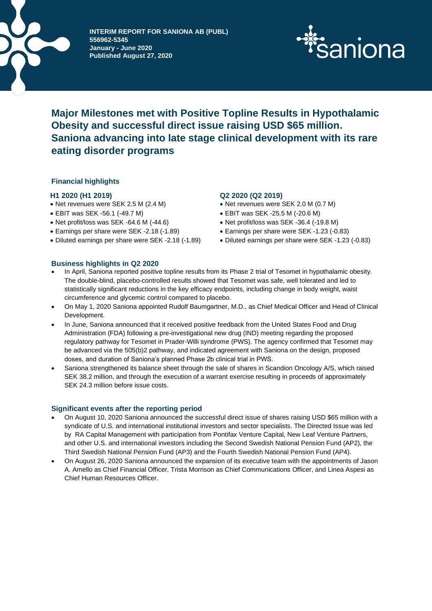

**INTERIM REPORT FOR SANIONA AB (PUBL) 556962-5345 January - June 2020 Published August 27, 2020**



# **Major Milestones met with Positive Topline Results in Hypothalamic Obesity and successful direct issue raising USD \$65 million. Saniona advancing into late stage clinical development with its rare eating disorder programs**

# **Financial highlights**

# **H1 2020 (H1 2019) Q2 2020 (Q2 2019)**

- Net revenues were SEK 2.5 M (2.4 M) Net revenues were SEK 2.0 M (0.7 M)
- EBIT was SEK -56.1 (-49.7 M)
- Net profit/loss was SEK -64.6 M (-44.6)
- Earnings per share were SEK -2.18 (-1.89) Earnings per share were SEK -1.23 (-0.83)
- Diluted earnings per share were SEK -2.18 (-1.89) Diluted earnings per share were SEK -1.23 (-0.83)

- 
- EBIT was SEK -25.5 M (-20.6 M)
- Net profit/loss was SEK -36.4 (-19.8 M)
- 
- 

# **Business highlights in Q2 2020**

- In April, Saniona reported positive topline results from its Phase 2 trial of Tesomet in hypothalamic obesity. The double-blind, placebo-controlled results showed that Tesomet was safe, well tolerated and led to statistically significant reductions in the key efficacy endpoints, including change in body weight, waist circumference and glycemic control compared to placebo.
- On May 1, 2020 Saniona appointed Rudolf Baumgartner, M.D., as Chief Medical Officer and Head of Clinical Development.
- In June, Saniona announced that it received positive feedback from the United States Food and Drug Administration (FDA) following a pre-investigational new drug (IND) meeting regarding the proposed regulatory pathway for Tesomet in Prader-Willi syndrome (PWS). The agency confirmed that Tesomet may be advanced via the 505(b)2 pathway, and indicated agreement with Saniona on the design, proposed doses, and duration of Saniona's planned Phase 2b clinical trial in PWS.
- Saniona strengthened its balance sheet through the sale of shares in Scandion Oncology A/S, which raised SEK 38.2 million, and through the execution of a warrant exercise resulting in proceeds of approximately SEK 24.3 million before issue costs.

# **Significant events after the reporting period**

- On August 10, 2020 Saniona announced the successful direct issue of shares raising USD \$65 million with a syndicate of U.S. and international institutional investors and sector specialists. The Directed Issue was led by RA Capital Management with participation from Pontifax Venture Capital, New Leaf Venture Partners, and other U.S. and international investors including the Second Swedish National Pension Fund (AP2), the Third Swedish National Pension Fund (AP3) and the Fourth Swedish National Pension Fund (AP4).
- On August 26, 2020 Saniona announced the expansion of its executive team with the appointments of Jason A. Amello as Chief Financial Officer, Trista Morrison as Chief Communications Officer, and Linea Aspesi as Chief Human Resources Officer.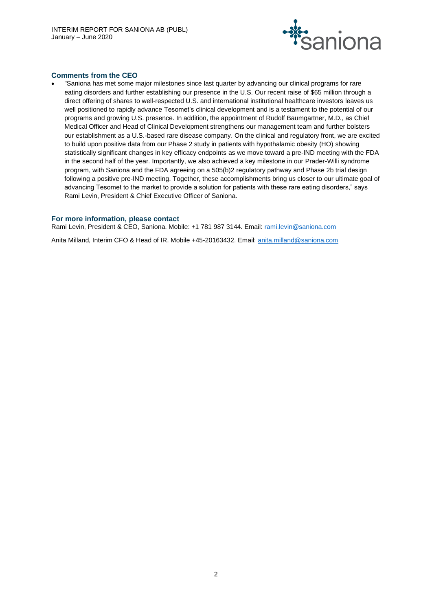

# **Comments from the CEO**

• "Saniona has met some major milestones since last quarter by advancing our clinical programs for rare eating disorders and further establishing our presence in the U.S. Our recent raise of \$65 million through a direct offering of shares to well-respected U.S. and international institutional healthcare investors leaves us well positioned to rapidly advance Tesomet's clinical development and is a testament to the potential of our programs and growing U.S. presence. In addition, the appointment of Rudolf Baumgartner, M.D., as Chief Medical Officer and Head of Clinical Development strengthens our management team and further bolsters our establishment as a U.S.-based rare disease company. On the clinical and regulatory front, we are excited to build upon positive data from our Phase 2 study in patients with hypothalamic obesity (HO) showing statistically significant changes in key efficacy endpoints as we move toward a pre-IND meeting with the FDA in the second half of the year. Importantly, we also achieved a key milestone in our Prader-Willi syndrome program, with Saniona and the FDA agreeing on a 505(b)2 regulatory pathway and Phase 2b trial design following a positive pre-IND meeting. Together, these accomplishments bring us closer to our ultimate goal of advancing Tesomet to the market to provide a solution for patients with these rare eating disorders," says Rami Levin, President & Chief Executive Officer of Saniona.

#### **For more information, please contact**

Rami Levin, President & CEO, Saniona. Mobile: +1 781 987 3144. Email: [rami.levin@saniona.com](mailto:rami.levin@saniona.com)

Anita Milland, Interim CFO & Head of IR. Mobile +45-20163432. Email: [anita.milland@saniona.com](mailto:anita.milland@saniona.com)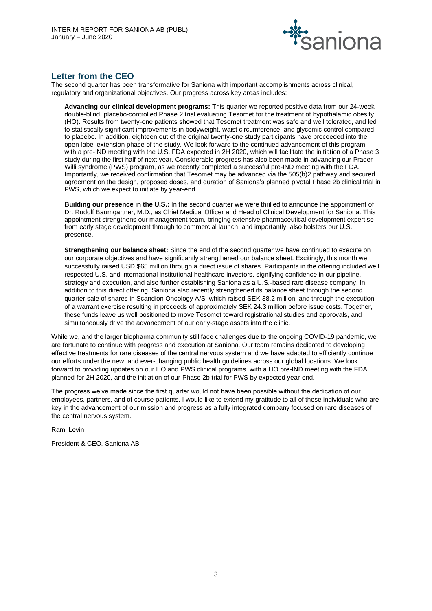

# **Letter from the CEO**

The second quarter has been transformative for Saniona with important accomplishments across clinical, regulatory and organizational objectives. Our progress across key areas includes:

**Advancing our clinical development programs:** This quarter we reported positive data from our 24-week double-blind, placebo-controlled Phase 2 trial evaluating Tesomet for the treatment of hypothalamic obesity (HO). Results from twenty-one patients showed that Tesomet treatment was safe and well tolerated, and led to statistically significant improvements in bodyweight, waist circumference, and glycemic control compared to placebo. In addition, eighteen out of the original twenty-one study participants have proceeded into the open-label extension phase of the study. We look forward to the continued advancement of this program, with a pre-IND meeting with the U.S. FDA expected in 2H 2020, which will facilitate the initiation of a Phase 3 study during the first half of next year. Considerable progress has also been made in advancing our Prader-Willi syndrome (PWS) program, as we recently completed a successful pre-IND meeting with the FDA. Importantly, we received confirmation that Tesomet may be advanced via the 505(b)2 pathway and secured agreement on the design, proposed doses, and duration of Saniona's planned pivotal Phase 2b clinical trial in PWS, which we expect to initiate by year-end.

**Building our presence in the U.S.:** In the second quarter we were thrilled to announce the appointment of Dr. Rudolf Baumgartner, M.D., as Chief Medical Officer and Head of Clinical Development for Saniona. This appointment strengthens our management team, bringing extensive pharmaceutical development expertise from early stage development through to commercial launch, and importantly, also bolsters our U.S. presence.

**Strengthening our balance sheet:** Since the end of the second quarter we have continued to execute on our corporate objectives and have significantly strengthened our balance sheet. Excitingly, this month we successfully raised USD \$65 million through a direct issue of shares. Participants in the offering included well respected U.S. and international institutional healthcare investors, signifying confidence in our pipeline, strategy and execution, and also further establishing Saniona as a U.S.-based rare disease company. In addition to this direct offering, Saniona also recently strengthened its balance sheet through the second quarter sale of shares in Scandion Oncology A/S, which raised SEK 38.2 million, and through the execution of a warrant exercise resulting in proceeds of approximately SEK 24.3 million before issue costs. Together, these funds leave us well positioned to move Tesomet toward registrational studies and approvals, and simultaneously drive the advancement of our early-stage assets into the clinic.

While we, and the larger biopharma community still face challenges due to the ongoing COVID-19 pandemic, we are fortunate to continue with progress and execution at Saniona. Our team remains dedicated to developing effective treatments for rare diseases of the central nervous system and we have adapted to efficiently continue our efforts under the new, and ever-changing public health guidelines across our global locations. We look forward to providing updates on our HO and PWS clinical programs, with a HO pre-IND meeting with the FDA planned for 2H 2020, and the initiation of our Phase 2b trial for PWS by expected year-end.

The progress we've made since the first quarter would not have been possible without the dedication of our employees, partners, and of course patients. I would like to extend my gratitude to all of these individuals who are key in the advancement of our mission and progress as a fully integrated company focused on rare diseases of the central nervous system.

Rami Levin

President & CEO, Saniona AB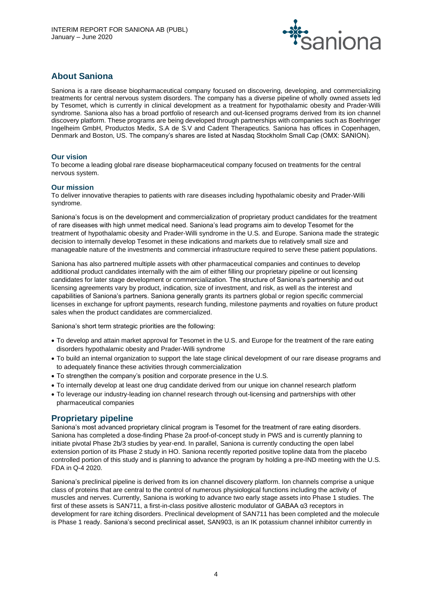

# **About Saniona**

Saniona is a rare disease biopharmaceutical company focused on discovering, developing, and commercializing treatments for central nervous system disorders. The company has a diverse pipeline of wholly owned assets led by Tesomet, which is currently in clinical development as a treatment for hypothalamic obesity and Prader-Willi syndrome. Saniona also has a broad portfolio of research and out-licensed programs derived from its ion channel discovery platform. These programs are being developed through partnerships with companies such as Boehringer Ingelheim GmbH, Productos Medix, S.A de S.V and Cadent Therapeutics. Saniona has offices in Copenhagen, Denmark and Boston, US. The company's shares are listed at Nasdaq Stockholm Small Cap (OMX: SANION).

# **Our vision**

To become a leading global rare disease biopharmaceutical company focused on treatments for the central nervous system.

# **Our mission**

To deliver innovative therapies to patients with rare diseases including hypothalamic obesity and Prader-Willi syndrome.

Saniona's focus is on the development and commercialization of proprietary product candidates for the treatment of rare diseases with high unmet medical need. Saniona's lead programs aim to develop Tesomet for the treatment of hypothalamic obesity and Prader-Willi syndrome in the U.S. and Europe. Saniona made the strategic decision to internally develop Tesomet in these indications and markets due to relatively small size and manageable nature of the investments and commercial infrastructure required to serve these patient populations.

Saniona has also partnered multiple assets with other pharmaceutical companies and continues to develop additional product candidates internally with the aim of either filling our proprietary pipeline or out licensing candidates for later stage development or commercialization. The structure of Saniona's partnership and out licensing agreements vary by product, indication, size of investment, and risk, as well as the interest and capabilities of Saniona's partners. Saniona generally grants its partners global or region specific commercial licenses in exchange for upfront payments, research funding, milestone payments and royalties on future product sales when the product candidates are commercialized.

Saniona's short term strategic priorities are the following:

- To develop and attain market approval for Tesomet in the U.S. and Europe for the treatment of the rare eating disorders hypothalamic obesity and Prader-Willi syndrome
- To build an internal organization to support the late stage clinical development of our rare disease programs and to adequately finance these activities through commercialization
- To strengthen the company's position and corporate presence in the U.S.
- To internally develop at least one drug candidate derived from our unique ion channel research platform
- To leverage our industry-leading ion channel research through out-licensing and partnerships with other pharmaceutical companies

# **Proprietary pipeline**

Saniona's most advanced proprietary clinical program is Tesomet for the treatment of rare eating disorders. Saniona has completed a dose-finding Phase 2a proof-of-concept study in PWS and is currently planning to initiate pivotal Phase 2b/3 studies by year-end. In parallel, Saniona is currently conducting the open label extension portion of its Phase 2 study in HO. Saniona recently reported positive topline data from the placebo controlled portion of this study and is planning to advance the program by holding a pre-IND meeting with the U.S. FDA in Q-4 2020.

Saniona's preclinical pipeline is derived from its ion channel discovery platform. Ion channels comprise a unique class of proteins that are central to the control of numerous physiological functions including the activity of muscles and nerves. Currently, Saniona is working to advance two early stage assets into Phase 1 studies. The first of these assets is SAN711, a first-in-class positive allosteric modulator of GABAA α3 receptors in development for rare itching disorders. Preclinical development of SAN711 has been completed and the molecule is Phase 1 ready. Saniona's second preclinical asset, SAN903, is an IK potassium channel inhibitor currently in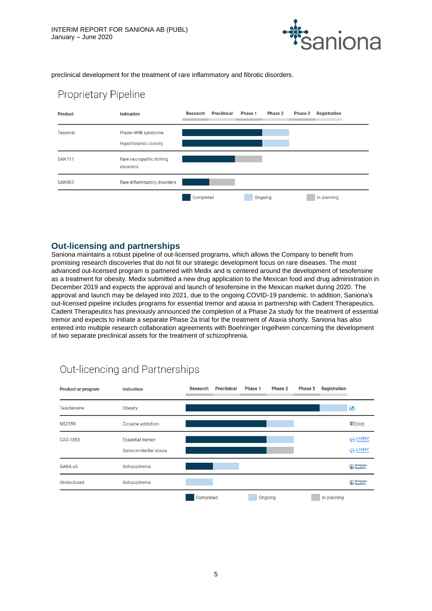

preclinical development for the treatment of rare inflammatory and fibrotic disorders.

# **Proprietary Pipeline**



# **Out-licensing and partnerships**

Saniona maintains a robust pipeline of out-licensed programs, which allows the Company to benefit from promising research discoveries that do not fit our strategic development focus on rare diseases. The most advanced out-licensed program is partnered with Medix and is centered around the development of tesofensine as a treatment for obesity. Medix submitted a new drug application to the Mexican food and drug administration in December 2019 and expects the approval and launch of tesofensine in the Mexican market during 2020. The approval and launch may be delayed into 2021, due to the ongoing COVID-19 pandemic. In addition, Saniona's out-licensed pipeline includes programs for essential tremor and ataxia in partnership with Cadent Therapeutics. Cadent Therapeutics has previously announced the completion of a Phase 2a study for the treatment of essential tremor and expects to initiate a separate Phase 2a trial for the treatment of Ataxia shortly. Saniona has also entered into multiple research collaboration agreements with Boehringer Ingelheim concerning the development of two separate preclinical assets for the treatment of schizophrenia.

| <b>Product or program</b> | Indication                                        | <b>Research</b> | <b>Preclinical</b> | Phase 1 | Phase 2 | <b>Phase 3</b> | <b>Registration</b> |                                                                |
|---------------------------|---------------------------------------------------|-----------------|--------------------|---------|---------|----------------|---------------------|----------------------------------------------------------------|
| <b>Tesofensine</b>        | Obesity                                           |                 |                    |         |         |                |                     | $\mathcal{L}$                                                  |
| <b>NS2359</b>             | Cocaine addiction                                 |                 |                    |         |         |                |                     | Perelman                                                       |
| CAD-1883                  | <b>Essential tremor</b><br>Spinocerebellar ataxia |                 |                    |         |         |                |                     | <b>CADENT</b><br>Therapeutics<br><b>CADENT</b><br>Therapeutics |
| GABA a5                   | Schizophrenia                                     |                 |                    |         |         |                |                     | Boehringer<br>Ingelheim                                        |
| <b>Undisclosed</b>        | Schizophrenia                                     |                 |                    |         |         |                |                     | Boehringer<br>Ingelheim                                        |
|                           |                                                   | Completed       |                    | Ongoing |         |                | In planning         |                                                                |

# Out-licencing and Partnerships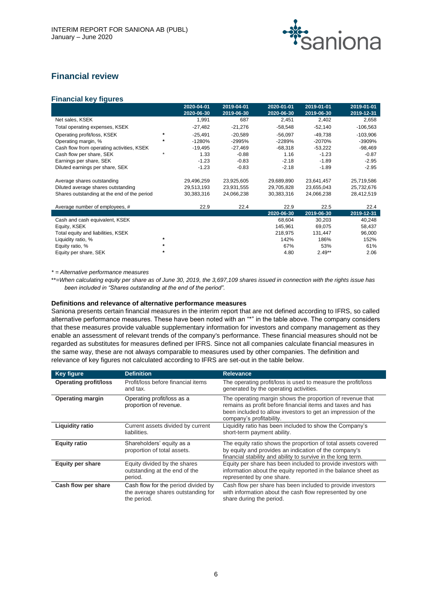

# **Financial review**

# **Financial key figures**

|                                             |         | 2020-04-01 | 2019-04-01 | 2020-01-01 | 2019-01-01 | 2019-01-01 |
|---------------------------------------------|---------|------------|------------|------------|------------|------------|
|                                             |         | 2020-06-30 | 2019-06-30 | 2020-06-30 | 2019-06-30 | 2019-12-31 |
| Net sales, KSEK                             |         | 1.991      | 687        | 2.451      | 2,402      | 2,658      |
| Total operating expenses, KSEK              |         | $-27,482$  | $-21.276$  | $-58.548$  | $-52.140$  | $-106,563$ |
| Operating profit/loss, KSEK                 | $\star$ | $-25.491$  | $-20.589$  | $-56.097$  | $-49.738$  | $-103.906$ |
| Operating margin, %                         | $\ast$  | $-1280%$   | $-2995%$   | $-2289%$   | $-2070%$   | $-3909%$   |
| Cash flow from operating activities, KSEK   |         | $-19.495$  | $-27.469$  | -68.318    | $-53.222$  | $-98,469$  |
| Cash flow per share, SEK                    | ÷       | 1.33       | $-0.88$    | 1.16       | $-1.23$    | $-0.87$    |
| Earnings per share, SEK                     |         | $-1.23$    | $-0.83$    | $-2.18$    | $-1.89$    | $-2.95$    |
| Diluted earnings per share, SEK             |         | $-1.23$    | $-0.83$    | $-2.18$    | $-1.89$    | $-2.95$    |
| Average shares outstanding                  |         | 29.496.259 | 23.925.605 | 29.689.890 | 23.641.457 | 25,719,586 |
| Diluted average shares outstanding          |         | 29,513,193 | 23,931,555 | 29,705,828 | 23,655,043 | 25,732,676 |
| Shares outstanding at the end of the period |         | 30.383.316 | 24.066.238 | 30.383.316 | 24.066.238 | 28.412.519 |

| Average number of employees, #     |         | 22.9 | 22.4 | 22.9       | 22.5       | 22.4       |
|------------------------------------|---------|------|------|------------|------------|------------|
|                                    |         |      |      | 2020-06-30 | 2019-06-30 | 2019-12-31 |
| Cash and cash equivalent, KSEK     |         |      |      | 68.604     | 30.203     | 40.248     |
| Equity, KSEK                       |         |      |      | 145.961    | 69.075     | 58.437     |
| Total equity and liabilities, KSEK |         |      |      | 218.975    | 131.447    | 96.000     |
| Liquidity ratio, %                 | $\star$ |      |      | 142%       | 186%       | 152%       |
| Equity ratio, %                    | $\star$ |      |      | 67%        | 53%        | 61%        |
| Equity per share, SEK              | $\star$ |      |      | 4.80       | $2.49**$   | 2.06       |

*\* = Alternative performance measures*

\*\*=*When calculating equity per share as of June 30, 2019, the 3,697,109 shares issued in connection with the rights issue has been included in "Shares outstanding at the end of the period".*

# **Definitions and relevance of alternative performance measures**

Saniona presents certain financial measures in the interim report that are not defined according to IFRS, so called alternative performance measures. These have been noted with an "\*" in the table above. The company considers that these measures provide valuable supplementary information for investors and company management as they enable an assessment of relevant trends of the company's performance. These financial measures should not be regarded as substitutes for measures defined per IFRS. Since not all companies calculate financial measures in the same way, these are not always comparable to measures used by other companies. The definition and relevance of key figures not calculated according to IFRS are set-out in the table below.

| <b>Key figure</b>            | <b>Definition</b>                                                                        | <b>Relevance</b>                                                                                                                                                                                                    |
|------------------------------|------------------------------------------------------------------------------------------|---------------------------------------------------------------------------------------------------------------------------------------------------------------------------------------------------------------------|
| <b>Operating profit/loss</b> | Profit/loss before financial items<br>and tax.                                           | The operating profit/loss is used to measure the profit/loss<br>generated by the operating activities.                                                                                                              |
| <b>Operating margin</b>      | Operating profit/loss as a<br>proportion of revenue.                                     | The operating margin shows the proportion of revenue that<br>remains as profit before financial items and taxes and has<br>been included to allow investors to get an impression of the<br>company's profitability. |
| <b>Liquidity ratio</b>       | Current assets divided by current<br>liabilities.                                        | Liquidity ratio has been included to show the Company's<br>short-term payment ability.                                                                                                                              |
| <b>Equity ratio</b>          | Shareholders' equity as a<br>proportion of total assets.                                 | The equity ratio shows the proportion of total assets covered<br>by equity and provides an indication of the company's<br>financial stability and ability to survive in the long term.                              |
| <b>Equity per share</b>      | Equity divided by the shares<br>outstanding at the end of the<br>period.                 | Equity per share has been included to provide investors with<br>information about the equity reported in the balance sheet as<br>represented by one share.                                                          |
| Cash flow per share          | Cash flow for the period divided by<br>the average shares outstanding for<br>the period. | Cash flow per share has been included to provide investors<br>with information about the cash flow represented by one<br>share during the period.                                                                   |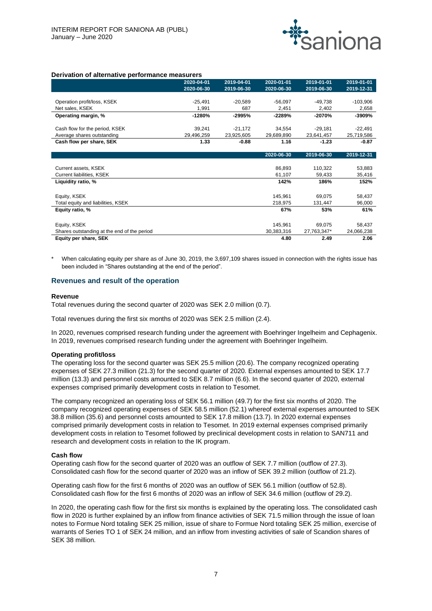

#### **Derivation of alternative performance measurers**

|                                             | 2020-04-01 | 2019-04-01 | 2020-01-01 | 2019-01-01  | 2019-01-01 |
|---------------------------------------------|------------|------------|------------|-------------|------------|
|                                             | 2020-06-30 | 2019-06-30 | 2020-06-30 | 2019-06-30  | 2019-12-31 |
|                                             |            |            |            |             |            |
| Operation profit/loss, KSEK                 | $-25,491$  | $-20,589$  | $-56,097$  | $-49,738$   | $-103,906$ |
| Net sales, KSEK                             | 1,991      | 687        | 2,451      | 2,402       | 2,658      |
| Operating margin, %                         | $-1280%$   | $-2995%$   | $-2289%$   | -2070%      | -3909%     |
|                                             |            |            |            |             |            |
| Cash flow for the period, KSEK              | 39,241     | $-21,172$  | 34,554     | $-29,181$   | $-22,491$  |
| Average shares outstanding                  | 29,496,259 | 23,925,605 | 29,689,890 | 23,641,457  | 25,719,586 |
| Cash flow per share, SEK                    | 1.33       | $-0.88$    | 1.16       | $-1.23$     | $-0.87$    |
|                                             |            |            |            |             |            |
|                                             |            |            | 2020-06-30 | 2019-06-30  | 2019-12-31 |
|                                             |            |            |            |             |            |
| Current assets, KSEK                        |            |            | 86,893     | 110,322     | 53,883     |
| Current liabilities, KSEK                   |            |            | 61,107     | 59,433      | 35,416     |
| Liquidity ratio, %                          |            |            | 142%       | 186%        | 152%       |
|                                             |            |            |            |             |            |
| Equity, KSEK                                |            |            | 145,961    | 69,075      | 58,437     |
| Total equity and liabilities, KSEK          |            |            | 218,975    | 131,447     | 96,000     |
| Equity ratio, %                             |            |            | 67%        | 53%         | 61%        |
|                                             |            |            |            |             |            |
| Equity, KSEK                                |            |            | 145,961    | 69,075      | 58,437     |
| Shares outstanding at the end of the period |            |            | 30,383,316 | 27,763,347* | 24,066,238 |
| Equity per share, SEK                       |            |            | 4.80       | 2.49        | 2.06       |

When calculating equity per share as of June 30, 2019, the 3,697,109 shares issued in connection with the rights issue has been included in "Shares outstanding at the end of the period".

#### **Revenues and result of the operation**

#### **Revenue**

Total revenues during the second quarter of 2020 was SEK 2.0 million (0.7).

Total revenues during the first six months of 2020 was SEK 2.5 million (2.4).

In 2020, revenues comprised research funding under the agreement with Boehringer Ingelheim and Cephagenix. In 2019, revenues comprised research funding under the agreement with Boehringer Ingelheim.

#### **Operating profit/loss**

The operating loss for the second quarter was SEK 25.5 million (20.6). The company recognized operating expenses of SEK 27.3 million (21.3) for the second quarter of 2020. External expenses amounted to SEK 17.7 million (13.3) and personnel costs amounted to SEK 8.7 million (6.6). In the second quarter of 2020, external expenses comprised primarily development costs in relation to Tesomet.

The company recognized an operating loss of SEK 56.1 million (49.7) for the first six months of 2020. The company recognized operating expenses of SEK 58.5 million (52.1) whereof external expenses amounted to SEK 38.8 million (35.6) and personnel costs amounted to SEK 17.8 million (13.7). In 2020 external expenses comprised primarily development costs in relation to Tesomet. In 2019 external expenses comprised primarily development costs in relation to Tesomet followed by preclinical development costs in relation to SAN711 and research and development costs in relation to the IK program.

#### **Cash flow**

Operating cash flow for the second quarter of 2020 was an outflow of SEK 7.7 million (outflow of 27.3). Consolidated cash flow for the second quarter of 2020 was an inflow of SEK 39.2 million (outflow of 21.2).

Operating cash flow for the first 6 months of 2020 was an outflow of SEK 56.1 million (outflow of 52.8). Consolidated cash flow for the first 6 months of 2020 was an inflow of SEK 34.6 million (outflow of 29.2).

In 2020, the operating cash flow for the first six months is explained by the operating loss. The consolidated cash flow in 2020 is further explained by an inflow from finance activities of SEK 71.5 million through the issue of loan notes to Formue Nord totaling SEK 25 million, issue of share to Formue Nord totaling SEK 25 million, exercise of warrants of Series TO 1 of SEK 24 million, and an inflow from investing activities of sale of Scandion shares of SEK 38 million.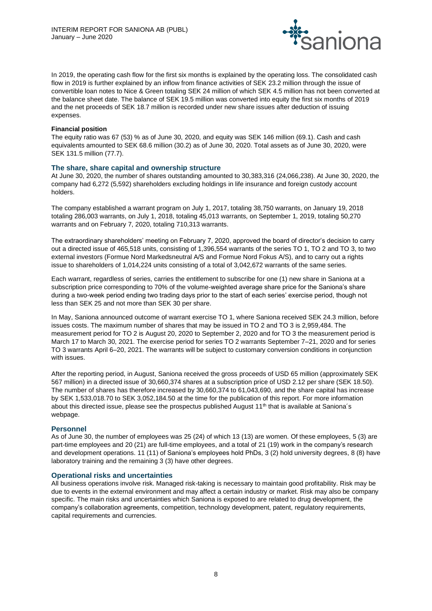

In 2019, the operating cash flow for the first six months is explained by the operating loss. The consolidated cash flow in 2019 is further explained by an inflow from finance activities of SEK 23.2 million through the issue of convertible loan notes to Nice & Green totaling SEK 24 million of which SEK 4.5 million has not been converted at the balance sheet date. The balance of SEK 19.5 million was converted into equity the first six months of 2019 and the net proceeds of SEK 18.7 million is recorded under new share issues after deduction of issuing expenses.

#### **Financial position**

The equity ratio was 67 (53) % as of June 30, 2020, and equity was SEK 146 million (69.1). Cash and cash equivalents amounted to SEK 68.6 million (30.2) as of June 30, 2020. Total assets as of June 30, 2020, were SEK 131.5 million (77.7).

# **The share, share capital and ownership structure**

At June 30, 2020, the number of shares outstanding amounted to 30,383,316 (24,066,238). At June 30, 2020, the company had 6,272 (5,592) shareholders excluding holdings in life insurance and foreign custody account holders.

The company established a warrant program on July 1, 2017, totaling 38,750 warrants, on January 19, 2018 totaling 286,003 warrants, on July 1, 2018, totaling 45,013 warrants, on September 1, 2019, totaling 50,270 warrants and on February 7, 2020, totaling 710,313 warrants.

The extraordinary shareholders' meeting on February 7, 2020, approved the board of director's decision to carry out a directed issue of 465,518 units, consisting of 1,396,554 warrants of the series TO 1, TO 2 and TO 3, to two external investors (Formue Nord Markedsneutral A/S and Formue Nord Fokus A/S), and to carry out a rights issue to shareholders of 1,014,224 units consisting of a total of 3,042,672 warrants of the same series.

Each warrant, regardless of series, carries the entitlement to subscribe for one (1) new share in Saniona at a subscription price corresponding to 70% of the volume-weighted average share price for the Saniona's share during a two-week period ending two trading days prior to the start of each series' exercise period, though not less than SEK 25 and not more than SEK 30 per share.

In May, Saniona announced outcome of warrant exercise TO 1, where Saniona received SEK 24.3 million, before issues costs. The maximum number of shares that may be issued in TO 2 and TO 3 is 2,959,484. The measurement period for TO 2 is August 20, 2020 to September 2, 2020 and for TO 3 the measurement period is March 17 to March 30, 2021. The exercise period for series TO 2 warrants September 7–21, 2020 and for series TO 3 warrants April 6–20, 2021. The warrants will be subject to customary conversion conditions in conjunction with issues.

After the reporting period, in August, Saniona received the gross proceeds of USD 65 million (approximately SEK 567 million) in a directed issue of 30,660,374 shares at a subscription price of USD 2.12 per share (SEK 18.50). The number of shares has therefore increased by 30,660,374 to 61,043,690, and the share capital has increase by SEK 1,533,018.70 to SEK 3,052,184.50 at the time for the publication of this report. For more information about this directed issue, please see the prospectus published August 11<sup>th</sup> that is available at Saniona's webpage.

# **Personnel**

As of June 30, the number of employees was 25 (24) of which 13 (13) are women. Of these employees, 5 (3) are part-time employees and 20 (21) are full-time employees, and a total of 21 (19) work in the company's research and development operations. 11 (11) of Saniona's employees hold PhDs, 3 (2) hold university degrees, 8 (8) have laboratory training and the remaining 3 (3) have other degrees.

# **Operational risks and uncertainties**

All business operations involve risk. Managed risk-taking is necessary to maintain good profitability. Risk may be due to events in the external environment and may affect a certain industry or market. Risk may also be company specific. The main risks and uncertainties which Saniona is exposed to are related to drug development, the company's collaboration agreements, competition, technology development, patent, regulatory requirements, capital requirements and currencies.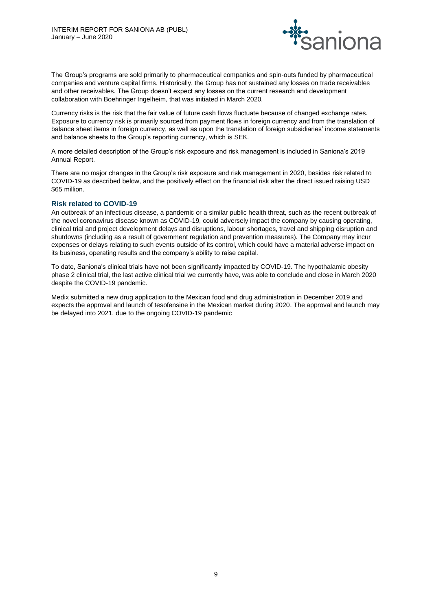

The Group's programs are sold primarily to pharmaceutical companies and spin-outs funded by pharmaceutical companies and venture capital firms. Historically, the Group has not sustained any losses on trade receivables and other receivables. The Group doesn't expect any losses on the current research and development collaboration with Boehringer Ingelheim, that was initiated in March 2020.

Currency risks is the risk that the fair value of future cash flows fluctuate because of changed exchange rates. Exposure to currency risk is primarily sourced from payment flows in foreign currency and from the translation of balance sheet items in foreign currency, as well as upon the translation of foreign subsidiaries' income statements and balance sheets to the Group's reporting currency, which is SEK.

A more detailed description of the Group's risk exposure and risk management is included in Saniona's 2019 Annual Report.

There are no major changes in the Group's risk exposure and risk management in 2020, besides risk related to COVID-19 as described below, and the positively effect on the financial risk after the direct issued raising USD \$65 million.

# **Risk related to COVID-19**

An outbreak of an infectious disease, a pandemic or a similar public health threat, such as the recent outbreak of the novel coronavirus disease known as COVID-19, could adversely impact the company by causing operating, clinical trial and project development delays and disruptions, labour shortages, travel and shipping disruption and shutdowns (including as a result of government regulation and prevention measures). The Company may incur expenses or delays relating to such events outside of its control, which could have a material adverse impact on its business, operating results and the company's ability to raise capital.

To date, Saniona's clinical trials have not been significantly impacted by COVID-19. The hypothalamic obesity phase 2 clinical trial, the last active clinical trial we currently have, was able to conclude and close in March 2020 despite the COVID-19 pandemic.

Medix submitted a new drug application to the Mexican food and drug administration in December 2019 and expects the approval and launch of tesofensine in the Mexican market during 2020. The approval and launch may be delayed into 2021, due to the ongoing COVID-19 pandemic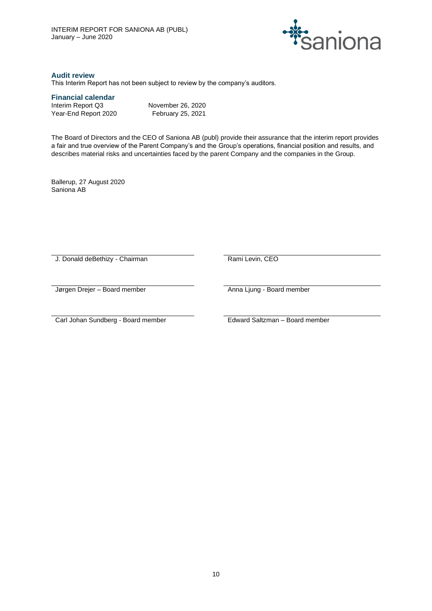

# **Audit review**

This Interim Report has not been subject to review by the company's auditors.

# **Financial calendar**

| Interim Report Q3    | November 26, 2020 |
|----------------------|-------------------|
| Year-End Report 2020 | February 25, 2021 |

The Board of Directors and the CEO of Saniona AB (publ) provide their assurance that the interim report provides a fair and true overview of the Parent Company's and the Group's operations, financial position and results, and describes material risks and uncertainties faced by the parent Company and the companies in the Group.

Ballerup, 27 August 2020 Saniona AB

J. Donald deBethizy - Chairman Rami Levin, CEO

Jørgen Drejer – Board member **Anna Ljung - Board member** Anna Ljung - Board member

Carl Johan Sundberg - Board member Edward Saltzman – Board member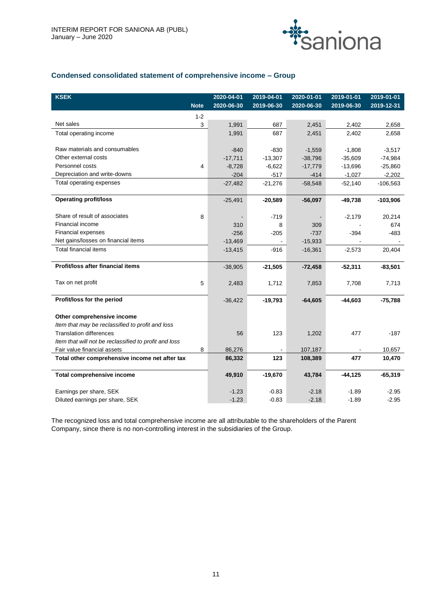

# **Condensed consolidated statement of comprehensive income – Group**

| <b>KSEK</b>                                           |             | 2020-04-01 | 2019-04-01 | 2020-01-01 | 2019-01-01 | 2019-01-01 |
|-------------------------------------------------------|-------------|------------|------------|------------|------------|------------|
|                                                       | <b>Note</b> | 2020-06-30 | 2019-06-30 | 2020-06-30 | 2019-06-30 | 2019-12-31 |
|                                                       | $1 - 2$     |            |            |            |            |            |
| Net sales                                             | 3           | 1,991      | 687        | 2,451      | 2,402      | 2,658      |
| Total operating income                                |             | 1,991      | 687        | 2,451      | 2,402      | 2,658      |
|                                                       |             |            |            |            |            |            |
| Raw materials and consumables                         |             | $-840$     | $-830$     | $-1,559$   | $-1,808$   | $-3,517$   |
| Other external costs                                  |             | $-17,711$  | $-13,307$  | $-38,796$  | $-35,609$  | $-74,984$  |
| Personnel costs                                       | 4           | $-8,728$   | $-6,622$   | $-17,779$  | $-13,696$  | $-25,860$  |
| Depreciation and write-downs                          |             | $-204$     | $-517$     | $-414$     | $-1,027$   | $-2,202$   |
| Total operating expenses                              |             | $-27,482$  | $-21,276$  | $-58,548$  | $-52,140$  | $-106,563$ |
|                                                       |             |            |            |            |            |            |
| <b>Operating profit/loss</b>                          |             | $-25,491$  | $-20,589$  | $-56,097$  | $-49,738$  | $-103,906$ |
|                                                       |             |            |            |            |            |            |
| Share of result of associates                         | 8           |            | $-719$     |            | $-2,179$   | 20,214     |
| Financial income                                      |             | 310        | 8          | 309        |            | 674        |
| <b>Financial expenses</b>                             |             | $-256$     | $-205$     | $-737$     | $-394$     | $-483$     |
| Net gains/losses on financial items                   |             | $-13,469$  |            | $-15,933$  |            |            |
| <b>Total financial items</b>                          |             | $-13,415$  | $-916$     | $-16,361$  | $-2,573$   | 20,404     |
|                                                       |             |            |            |            |            |            |
| Profit/loss after financial items                     |             | $-38,905$  | $-21,505$  | $-72,458$  | $-52,311$  | $-83,501$  |
|                                                       |             |            |            |            |            |            |
| Tax on net profit                                     | 5           | 2,483      | 1,712      | 7,853      | 7,708      | 7,713      |
| Profit/loss for the period                            |             | $-36,422$  | $-19,793$  | $-64,605$  | $-44,603$  | $-75,788$  |
|                                                       |             |            |            |            |            |            |
| Other comprehensive income                            |             |            |            |            |            |            |
| Item that may be reclassified to profit and loss      |             |            |            |            |            |            |
| <b>Translation differences</b>                        |             | 56         | 123        | 1,202      | 477        | $-187$     |
| Item that will not be reclassified to profit and loss |             |            |            |            |            |            |
| Fair value financial assets                           | 8           | 86,276     |            | 107,187    |            | 10,657     |
| Total other comprehensive income net after tax        |             | 86,332     | 123        | 108,389    | 477        | 10,470     |
|                                                       |             |            |            |            |            |            |
| <b>Total comprehensive income</b>                     |             | 49,910     | $-19,670$  | 43,784     | $-44, 125$ | $-65,319$  |
|                                                       |             |            |            |            |            |            |
| Earnings per share, SEK                               |             | $-1.23$    | $-0.83$    | $-2.18$    | $-1.89$    | $-2.95$    |
| Diluted earnings per share, SEK                       |             | $-1.23$    | $-0.83$    | $-2.18$    | $-1.89$    | $-2.95$    |

The recognized loss and total comprehensive income are all attributable to the shareholders of the Parent Company, since there is no non-controlling interest in the subsidiaries of the Group.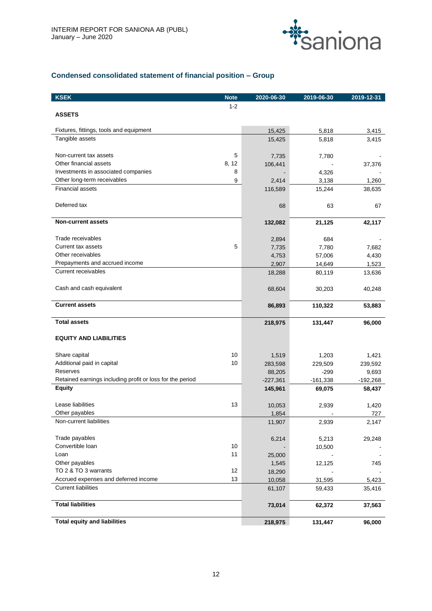

# **Condensed consolidated statement of financial position – Group**

| <b>KSEK</b>                                               | <b>Note</b> | 2020-06-30 | 2019-06-30 | 2019-12-31 |
|-----------------------------------------------------------|-------------|------------|------------|------------|
|                                                           | $1 - 2$     |            |            |            |
| <b>ASSETS</b>                                             |             |            |            |            |
|                                                           |             |            |            |            |
| Fixtures, fittings, tools and equipment                   |             | 15,425     | 5,818      | 3,415      |
| Tangible assets                                           |             | 15,425     | 5,818      | 3,415      |
|                                                           |             |            |            |            |
| Non-current tax assets                                    | 5           | 7,735      | 7,780      |            |
| Other financial assets                                    | 8, 12       | 106,441    |            | 37,376     |
| Investments in associated companies                       | 8           |            | 4,326      |            |
| Other long-term receivables<br><b>Financial assets</b>    | 9           | 2,414      | 3,138      | 1,260      |
|                                                           |             | 116,589    | 15,244     | 38,635     |
| Deferred tax                                              |             |            |            |            |
|                                                           |             | 68         | 63         | 67         |
| <b>Non-current assets</b>                                 |             | 132,082    | 21,125     | 42,117     |
|                                                           |             |            |            |            |
| Trade receivables                                         |             | 2,894      | 684        |            |
| Current tax assets                                        | 5           | 7,735      | 7,780      | 7,682      |
| Other receivables                                         |             | 4,753      | 57,006     | 4,430      |
| Prepayments and accrued income                            |             | 2,907      | 14,649     | 1,523      |
| <b>Current receivables</b>                                |             | 18,288     | 80,119     | 13,636     |
|                                                           |             |            |            |            |
| Cash and cash equivalent                                  |             | 68,604     | 30,203     | 40,248     |
|                                                           |             |            |            |            |
| <b>Current assets</b>                                     |             | 86,893     | 110,322    | 53,883     |
|                                                           |             |            |            |            |
| <b>Total assets</b>                                       |             | 218,975    | 131,447    | 96,000     |
|                                                           |             |            |            |            |
| <b>EQUITY AND LIABILITIES</b>                             |             |            |            |            |
|                                                           | 10          |            |            |            |
| Share capital                                             | 10          | 1,519      | 1,203      | 1,421      |
| Additional paid in capital<br>Reserves                    |             | 283,598    | 229,509    | 239,592    |
| Retained earnings including profit or loss for the period |             | 88,205     | $-299$     | 9,693      |
| <b>Equity</b>                                             |             | $-227,361$ | $-161,338$ | $-192,268$ |
|                                                           |             | 145,961    | 69,075     | 58,437     |
| Lease liabilities                                         | 13          | 10,053     | 2,939      | 1,420      |
| Other payables                                            |             | 1,854      |            | 727        |
| Non-current liabilities                                   |             | 11,907     | 2,939      | 2,147      |
|                                                           |             |            |            |            |
| Trade payables                                            |             | 6,214      | 5,213      | 29,248     |
| Convertible Ioan                                          | 10          |            | 10,500     |            |
| Loan                                                      | 11          | 25,000     |            |            |
| Other payables                                            |             | 1,545      | 12,125     | 745        |
| TO 2 & TO 3 warrants                                      | 12          | 18,290     |            |            |
| Accrued expenses and deferred income                      | 13          | 10,058     | 31,595     | 5,423      |
| <b>Current liabilities</b>                                |             | 61,107     | 59,433     | 35,416     |
|                                                           |             |            |            |            |
| <b>Total liabilities</b>                                  |             | 73,014     | 62,372     | 37,563     |
|                                                           |             |            |            |            |
| <b>Total equity and liabilities</b>                       |             | 218,975    | 131,447    | 96,000     |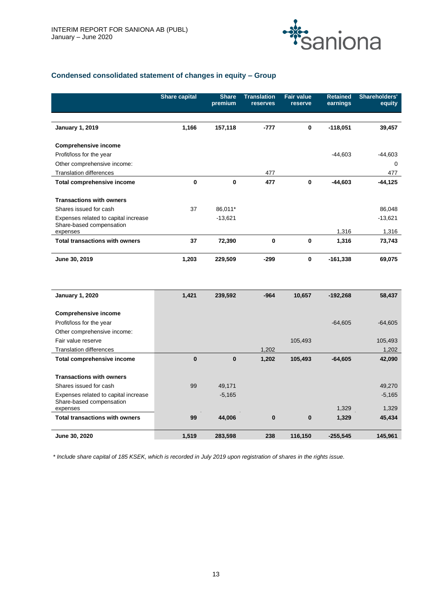

# **Condensed consolidated statement of changes in equity – Group**

|                                                                  | <b>Share capital</b> | <b>Share</b><br>premium | <b>Translation</b><br>reserves | <b>Fair value</b><br>reserve | <b>Retained</b><br>earnings | Shareholders'<br>equity |
|------------------------------------------------------------------|----------------------|-------------------------|--------------------------------|------------------------------|-----------------------------|-------------------------|
|                                                                  |                      |                         |                                |                              |                             |                         |
| <b>January 1, 2019</b>                                           | 1,166                | 157,118                 | $-777$                         | 0                            | $-118,051$                  | 39,457                  |
| <b>Comprehensive income</b>                                      |                      |                         |                                |                              |                             |                         |
| Profit/loss for the year                                         |                      |                         |                                |                              | $-44,603$                   | $-44,603$               |
| Other comprehensive income:                                      |                      |                         |                                |                              |                             | $\Omega$                |
| <b>Translation differences</b>                                   |                      |                         | 477                            |                              |                             | 477                     |
| <b>Total comprehensive income</b>                                | 0                    | 0                       | 477                            | 0                            | $-44,603$                   | $-44, 125$              |
| <b>Transactions with owners</b>                                  |                      |                         |                                |                              |                             |                         |
| Shares issued for cash                                           | 37                   | 86,011*                 |                                |                              |                             | 86.048                  |
| Expenses related to capital increase<br>Share-based compensation |                      | $-13,621$               |                                |                              |                             | $-13,621$               |
| expenses                                                         |                      |                         |                                |                              | 1,316                       | 1,316                   |
| <b>Total transactions with owners</b>                            | 37                   | 72,390                  | 0                              | 0                            | 1,316                       | 73,743                  |
| June 30, 2019                                                    | 1,203                | 229,509                 | $-299$                         | 0                            | $-161,338$                  | 69,075                  |
| <b>January 1, 2020</b>                                           | 1,421                | 239,592                 | $-964$                         | 10,657                       | $-192,268$                  | 58,437                  |
| <b>Comprehensive income</b>                                      |                      |                         |                                |                              |                             |                         |
| Profit/loss for the year                                         |                      |                         |                                |                              | $-64,605$                   | $-64,605$               |
| Other comprehensive income:                                      |                      |                         |                                |                              |                             |                         |
| Fair value reserve                                               |                      |                         |                                | 105,493                      |                             | 105,493                 |
| <b>Translation differences</b>                                   |                      |                         | 1,202                          |                              |                             | 1,202                   |
| Total comprehensive income                                       | $\mathbf{0}$         | $\bf{0}$                | 1,202                          | 105,493                      | $-64,605$                   | 42,090                  |
| <b>Transactions with owners</b>                                  |                      |                         |                                |                              |                             |                         |
| Shares issued for cash                                           | 99                   | 49,171                  |                                |                              |                             | 49,270                  |
| Expenses related to capital increase<br>Share-based compensation |                      | $-5,165$                |                                |                              |                             | $-5,165$                |
| expenses                                                         |                      |                         |                                |                              | 1,329                       | 1,329                   |
| <b>Total transactions with owners</b>                            | 99                   | 44,006                  | $\bf{0}$                       | $\bf{0}$                     | 1,329                       | 45,434                  |
| June 30, 2020                                                    | 1,519                | 283,598                 | 238                            | 116.150                      | $-255,545$                  | 145.961                 |

*\* Include share capital of 185 KSEK, which is recorded in July 2019 upon registration of shares in the rights issue.*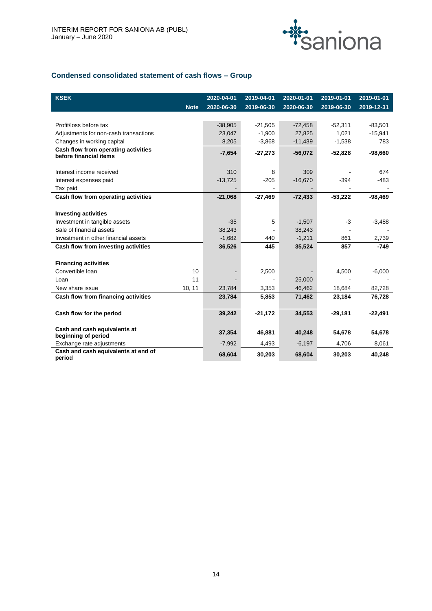

# **Condensed consolidated statement of cash flows – Group**

| <b>KSEK</b>                                                   |             | 2020-04-01 | 2019-04-01 | 2020-01-01 | 2019-01-01 | 2019-01-01 |
|---------------------------------------------------------------|-------------|------------|------------|------------|------------|------------|
|                                                               | <b>Note</b> | 2020-06-30 | 2019-06-30 | 2020-06-30 | 2019-06-30 | 2019-12-31 |
|                                                               |             |            |            |            |            |            |
| Profit/loss before tax                                        |             | $-38,905$  | $-21,505$  | $-72,458$  | $-52,311$  | $-83,501$  |
| Adjustments for non-cash transactions                         |             | 23,047     | $-1,900$   | 27,825     | 1,021      | $-15,941$  |
| Changes in working capital                                    |             | 8,205      | $-3,868$   | $-11,439$  | $-1,538$   | 783        |
| Cash flow from operating activities<br>before financial items |             | $-7,654$   | $-27,273$  | $-56,072$  | $-52,828$  | $-98,660$  |
|                                                               |             |            |            |            |            |            |
| Interest income received                                      |             | 310        | 8          | 309        |            | 674        |
| Interest expenses paid                                        |             | $-13,725$  | $-205$     | $-16,670$  | $-394$     | $-483$     |
| Tax paid                                                      |             |            |            |            |            |            |
| Cash flow from operating activities                           |             | $-21,068$  | $-27.469$  | $-72,433$  | $-53,222$  | $-98,469$  |
|                                                               |             |            |            |            |            |            |
| <b>Investing activities</b>                                   |             |            |            |            |            |            |
| Investment in tangible assets                                 |             | $-35$      | 5          | $-1,507$   | $-3$       | $-3,488$   |
| Sale of financial assets                                      |             | 38,243     |            | 38,243     |            |            |
| Investment in other financial assets                          |             | $-1,682$   | 440        | $-1,211$   | 861        | 2,739      |
| Cash flow from investing activities                           |             | 36,526     | 445        | 35,524     | 857        | $-749$     |
|                                                               |             |            |            |            |            |            |
| <b>Financing activities</b>                                   |             |            |            |            |            |            |
| Convertible Ioan                                              | 10          |            | 2,500      |            | 4,500      | $-6,000$   |
| Loan                                                          | 11          |            |            | 25,000     |            |            |
| New share issue                                               | 10, 11      | 23,784     | 3,353      | 46,462     | 18,684     | 82,728     |
| Cash flow from financing activities                           |             | 23,784     | 5,853      | 71,462     | 23,184     | 76,728     |
| Cash flow for the period                                      |             | 39,242     | $-21,172$  | 34,553     | $-29,181$  | $-22,491$  |
| Cash and cash equivalents at                                  |             |            |            |            |            |            |
| beginning of period                                           |             | 37,354     | 46.881     | 40,248     | 54,678     | 54,678     |
| Exchange rate adjustments                                     |             | $-7,992$   | 4,493      | $-6,197$   | 4,706      | 8,061      |
| Cash and cash equivalents at end of<br>period                 |             | 68,604     | 30,203     | 68,604     | 30,203     | 40,248     |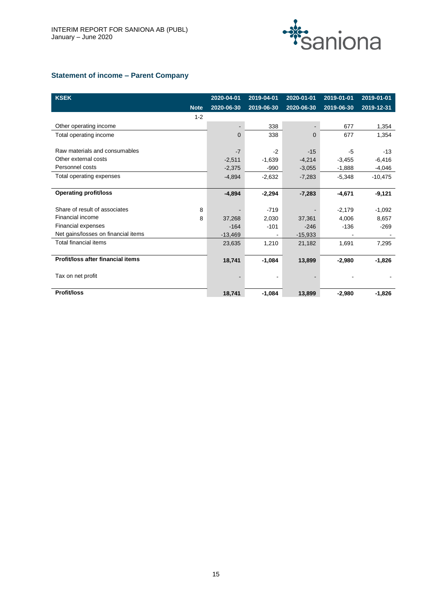

# **Statement of income – Parent Company**

| <b>KSEK</b>                         |             | 2020-04-01 | 2019-04-01 | 2020-01-01 | 2019-01-01 | 2019-01-01 |
|-------------------------------------|-------------|------------|------------|------------|------------|------------|
|                                     | <b>Note</b> | 2020-06-30 | 2019-06-30 | 2020-06-30 | 2019-06-30 | 2019-12-31 |
|                                     | $1 - 2$     |            |            |            |            |            |
| Other operating income              |             |            | 338        |            | 677        | 1,354      |
| Total operating income              |             | $\Omega$   | 338        | $\Omega$   | 677        | 1,354      |
|                                     |             |            |            |            |            |            |
| Raw materials and consumables       |             | $-7$       | $-2$       | $-15$      | $-5$       | $-13$      |
| Other external costs                |             | $-2,511$   | $-1,639$   | $-4,214$   | $-3,455$   | $-6,416$   |
| Personnel costs                     |             | $-2,375$   | $-990$     | $-3,055$   | $-1,888$   | $-4,046$   |
| Total operating expenses            |             | $-4,894$   | $-2,632$   | $-7,283$   | $-5,348$   | $-10,475$  |
|                                     |             |            |            |            |            |            |
| <b>Operating profit/loss</b>        |             | $-4,894$   | $-2,294$   | $-7,283$   | $-4,671$   | $-9,121$   |
|                                     |             |            |            |            |            |            |
| Share of result of associates       | 8           |            | $-719$     |            | $-2,179$   | $-1,092$   |
| Financial income                    | 8           | 37,268     | 2,030      | 37,361     | 4.006      | 8,657      |
| Financial expenses                  |             | $-164$     | $-101$     | $-246$     | $-136$     | $-269$     |
| Net gains/losses on financial items |             | $-13,469$  | ۰          | $-15,933$  |            |            |
| Total financial items               |             | 23,635     | 1,210      | 21,182     | 1,691      | 7,295      |
|                                     |             |            |            |            |            |            |
| Profit/loss after financial items   |             | 18,741     | $-1,084$   | 13,899     | $-2,980$   | $-1,826$   |
|                                     |             |            |            |            |            |            |
| Tax on net profit                   |             |            |            |            |            |            |
|                                     |             |            |            |            |            |            |
| <b>Profit/loss</b>                  |             | 18,741     | $-1,084$   | 13,899     | $-2.980$   | $-1,826$   |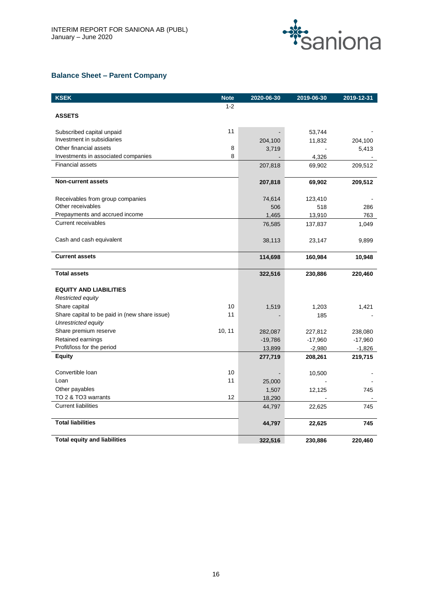

# **Balance Sheet – Parent Company**

| <b>KSEK</b>                                   | <b>Note</b> | 2020-06-30 | 2019-06-30 | 2019-12-31 |
|-----------------------------------------------|-------------|------------|------------|------------|
|                                               | $1 - 2$     |            |            |            |
| <b>ASSETS</b>                                 |             |            |            |            |
|                                               |             |            |            |            |
| Subscribed capital unpaid                     | 11          |            | 53,744     |            |
| Investment in subsidiaries                    |             | 204,100    | 11,832     | 204,100    |
| Other financial assets                        | 8           | 3,719      |            | 5,413      |
| Investments in associated companies           | 8           |            | 4,326      |            |
| <b>Financial assets</b>                       |             | 207,818    | 69,902     | 209,512    |
| <b>Non-current assets</b>                     |             | 207,818    | 69,902     | 209,512    |
| Receivables from group companies              |             | 74,614     | 123,410    |            |
| Other receivables                             |             | 506        | 518        | 286        |
| Prepayments and accrued income                |             | 1,465      | 13,910     | 763        |
| <b>Current receivables</b>                    |             | 76,585     | 137,837    | 1,049      |
| Cash and cash equivalent                      |             | 38,113     | 23,147     | 9,899      |
| <b>Current assets</b>                         |             | 114,698    | 160,984    | 10,948     |
| <b>Total assets</b>                           |             | 322,516    | 230,886    | 220,460    |
| <b>EQUITY AND LIABILITIES</b>                 |             |            |            |            |
| Restricted equity                             |             |            |            |            |
| Share capital                                 | 10          | 1,519      | 1,203      | 1,421      |
| Share capital to be paid in (new share issue) | 11          |            | 185        |            |
| Unrestricted equity                           |             |            |            |            |
| Share premium reserve                         | 10, 11      | 282,087    | 227,812    | 238,080    |
| Retained earnings                             |             | $-19,786$  | $-17,960$  | $-17,960$  |
| Profit/loss for the period                    |             | 13,899     | $-2,980$   | $-1,826$   |
| <b>Equity</b>                                 |             | 277,719    | 208,261    | 219,715    |
| Convertible Ioan                              | 10          |            | 10,500     |            |
| Loan                                          | 11          | 25,000     |            |            |
| Other payables                                |             | 1,507      | 12,125     | 745        |
| TO 2 & TO3 warrants                           | 12          | 18,290     |            |            |
| <b>Current liabilities</b>                    |             | 44,797     | 22,625     | 745        |
| <b>Total liabilities</b>                      |             | 44,797     | 22,625     | 745        |
| <b>Total equity and liabilities</b>           |             | 322,516    | 230,886    | 220.460    |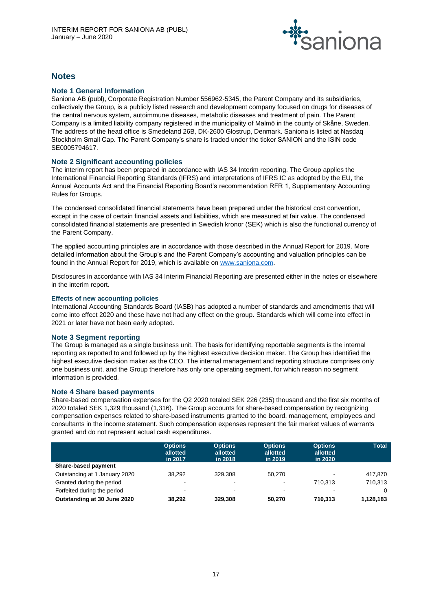

# **Notes**

# **Note 1 General Information**

Saniona AB (publ), Corporate Registration Number 556962-5345, the Parent Company and its subsidiaries, collectively the Group, is a publicly listed research and development company focused on drugs for diseases of the central nervous system, autoimmune diseases, metabolic diseases and treatment of pain. The Parent Company is a limited liability company registered in the municipality of Malmö in the county of Skåne, Sweden. The address of the head office is Smedeland 26B, DK-2600 Glostrup, Denmark. Saniona is listed at Nasdaq Stockholm Small Cap. The Parent Company's share is traded under the ticker SANION and the ISIN code SE0005794617.

# **Note 2 Significant accounting policies**

The interim report has been prepared in accordance with IAS 34 Interim reporting. The Group applies the International Financial Reporting Standards (IFRS) and interpretations of IFRS IC as adopted by the EU, the Annual Accounts Act and the Financial Reporting Board's recommendation RFR 1, Supplementary Accounting Rules for Groups.

The condensed consolidated financial statements have been prepared under the historical cost convention, except in the case of certain financial assets and liabilities, which are measured at fair value. The condensed consolidated financial statements are presented in Swedish kronor (SEK) which is also the functional currency of the Parent Company.

The applied accounting principles are in accordance with those described in the Annual Report for 2019. More detailed information about the Group's and the Parent Company's accounting and valuation principles can be found in the Annual Report for 2019, which is available o[n www.saniona.com.](http://www.saniona.com/)

Disclosures in accordance with IAS 34 Interim Financial Reporting are presented either in the notes or elsewhere in the interim report.

# **Effects of new accounting policies**

International Accounting Standards Board (IASB) has adopted a number of standards and amendments that will come into effect 2020 and these have not had any effect on the group. Standards which will come into effect in 2021 or later have not been early adopted.

# **Note 3 Segment reporting**

The Group is managed as a single business unit. The basis for identifying reportable segments is the internal reporting as reported to and followed up by the highest executive decision maker. The Group has identified the highest executive decision maker as the CEO. The internal management and reporting structure comprises only one business unit, and the Group therefore has only one operating segment, for which reason no segment information is provided.

# **Note 4 Share based payments**

Share-based compensation expenses for the Q2 2020 totaled SEK 226 (235) thousand and the first six months of 2020 totaled SEK 1,329 thousand (1,316). The Group accounts for share-based compensation by recognizing compensation expenses related to share-based instruments granted to the board, management, employees and consultants in the income statement. Such compensation expenses represent the fair market values of warrants granted and do not represent actual cash expenditures.

|                               | <b>Options</b><br>allotted<br>in 2017 | <b>Options</b><br>allotted<br>in 2018 | <b>Options</b><br>allotted<br>in 2019 | <b>Options</b><br>allotted<br>in 2020 | <b>Total</b> |
|-------------------------------|---------------------------------------|---------------------------------------|---------------------------------------|---------------------------------------|--------------|
| <b>Share-based payment</b>    |                                       |                                       |                                       |                                       |              |
| Outstanding at 1 January 2020 | 38.292                                | 329.308                               | 50.270                                | $\blacksquare$                        | 417.870      |
| Granted during the period     | $\blacksquare$                        | $\overline{\phantom{a}}$              | $\sim$                                | 710.313                               | 710.313      |
| Forfeited during the period   | -                                     | $\overline{\phantom{a}}$              | $\sim$                                | $\blacksquare$                        |              |
| Outstanding at 30 June 2020   | 38.292                                | 329.308                               | 50.270                                | 710.313                               | 1,128,183    |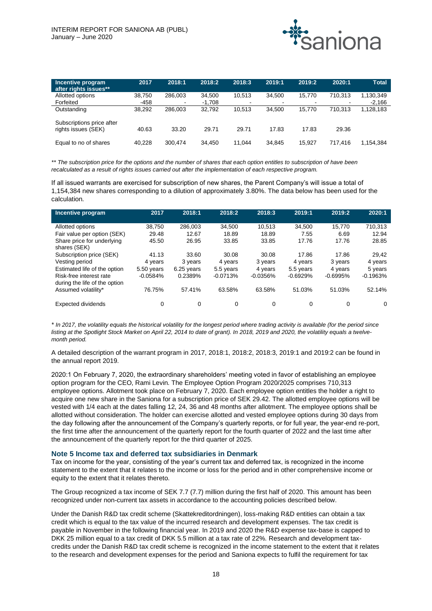

| Incentive program<br>after rights issues**       | 2017   | 2018:1  | 2018:2   | 2018:3 | 2019:1                   | 2019:2         | 2020:1                   | <b>Total</b> |
|--------------------------------------------------|--------|---------|----------|--------|--------------------------|----------------|--------------------------|--------------|
| Allotted options                                 | 38.750 | 286.003 | 34.500   | 10.513 | 34.500                   | 15.770         | 710.313                  | 1,130,349    |
| Forfeited                                        | -458   | ۰.      | $-1,708$ |        | $\overline{\phantom{0}}$ | $\blacksquare$ | $\overline{\phantom{a}}$ | $-2.166$     |
| Outstanding                                      | 38.292 | 286.003 | 32.792   | 10.513 | 34.500                   | 15.770         | 710.313                  | 1,128,183    |
| Subscriptions price after<br>rights issues (SEK) | 40.63  | 33.20   | 29.71    | 29.71  | 17.83                    | 17.83          | 29.36                    |              |
| Equal to no of shares                            | 40.228 | 300.474 | 34.450   | 11.044 | 34.845                   | 15.927         | 717.416                  | 1.154.384    |

*\*\* The subscription price for the options and the number of shares that each option entitles to subscription of have been recalculated as a result of rights issues carried out after the implementation of each respective program.*

If all issued warrants are exercised for subscription of new shares, the Parent Company's will issue a total of 1,154,384 new shares corresponding to a dilution of approximately 3.80%. The data below has been used for the calculation.

| Incentive program                                        | 2017       | 2018:1     | 2018:2     | 2018:3     | 2019:1     | 2019:2     | 2020:1     |
|----------------------------------------------------------|------------|------------|------------|------------|------------|------------|------------|
| Allotted options                                         | 38,750     | 286.003    | 34.500     | 10.513     | 34.500     | 15.770     | 710.313    |
| Fair value per option (SEK)                              | 29.48      | 12.67      | 18.89      | 18.89      | 7.55       | 6.69       | 12.94      |
| Share price for underlying<br>shares (SEK)               | 45.50      | 26.95      | 33.85      | 33.85      | 17.76      | 17.76      | 28.85      |
| Subscription price (SEK)                                 | 41.13      | 33.60      | 30.08      | 30.08      | 17.86      | 17.86      | 29.42      |
| Vesting period                                           | 4 years    | 3 years    | 4 years    | 3 years    | 4 years    | 3 years    | 4 years    |
| Estimated life of the option                             | 5.50 years | 6.25 years | 5.5 years  | 4 years    | 5.5 years  | 4 years    | 5 years    |
| Risk-free interest rate<br>during the life of the option | $-0.0584%$ | 0.2389%    | $-0.0713%$ | $-0.0356%$ | $-0.6929%$ | $-0.6995%$ | $-0.1963%$ |
| Assumed volatility*                                      | 76.75%     | 57.41%     | 63.58%     | 63.58%     | 51.03%     | 51.03%     | 52.14%     |
| Expected dividends                                       | 0          | 0          | $\Omega$   | 0          | $\Omega$   | 0          | $\Omega$   |

*\* In 2017, the volatility equals the historical volatility for the longest period where trading activity is available (for the period since listing at the Spotlight Stock Market on April 22, 2014 to date of grant). In 2018, 2019 and 2020, the volatility equals a twelvemonth period.*

A detailed description of the warrant program in 2017, 2018:1, 2018:2, 2018:3, 2019:1 and 2019:2 can be found in the annual report 2019.

2020:1 On February 7, 2020, the extraordinary shareholders' meeting voted in favor of establishing an employee option program for the CEO, Rami Levin. The Employee Option Program 2020/2025 comprises 710,313 employee options. Allotment took place on February 7, 2020. Each employee option entitles the holder a right to acquire one new share in the Saniona for a subscription price of SEK 29.42. The allotted employee options will be vested with 1/4 each at the dates falling 12, 24, 36 and 48 months after allotment. The employee options shall be allotted without consideration. The holder can exercise allotted and vested employee options during 30 days from the day following after the announcement of the Company's quarterly reports, or for full year, the year-end re-port, the first time after the announcement of the quarterly report for the fourth quarter of 2022 and the last time after the announcement of the quarterly report for the third quarter of 2025.

#### **Note 5 Income tax and deferred tax subsidiaries in Denmark**

Tax on income for the year, consisting of the year's current tax and deferred tax, is recognized in the income statement to the extent that it relates to the income or loss for the period and in other comprehensive income or equity to the extent that it relates thereto.

The Group recognized a tax income of SEK 7.7 (7.7) million during the first half of 2020. This amount has been recognized under non-current tax assets in accordance to the accounting policies described below.

Under the Danish R&D tax credit scheme (Skattekreditordningen), loss-making R&D entities can obtain a tax credit which is equal to the tax value of the incurred research and development expenses. The tax credit is payable in November in the following financial year. In 2019 and 2020 the R&D expense tax-base is capped to DKK 25 million equal to a tax credit of DKK 5.5 million at a tax rate of 22%. Research and development taxcredits under the Danish R&D tax credit scheme is recognized in the income statement to the extent that it relates to the research and development expenses for the period and Saniona expects to fulfil the requirement for tax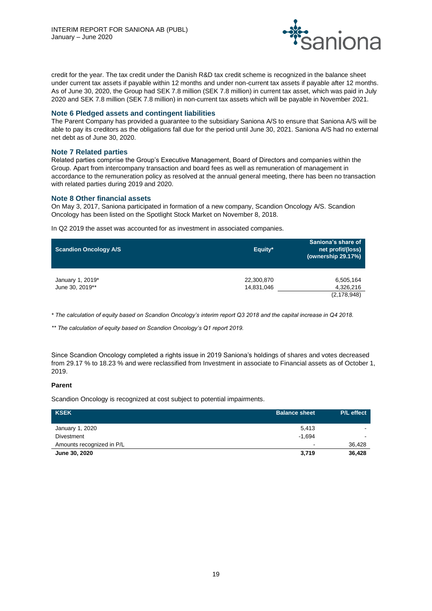

credit for the year. The tax credit under the Danish R&D tax credit scheme is recognized in the balance sheet under current tax assets if payable within 12 months and under non-current tax assets if payable after 12 months. As of June 30, 2020, the Group had SEK 7.8 million (SEK 7.8 million) in current tax asset, which was paid in July 2020 and SEK 7.8 million (SEK 7.8 million) in non-current tax assets which will be payable in November 2021.

# **Note 6 Pledged assets and contingent liabilities**

The Parent Company has provided a guarantee to the subsidiary Saniona A/S to ensure that Saniona A/S will be able to pay its creditors as the obligations fall due for the period until June 30, 2021. Saniona A/S had no external net debt as of June 30, 2020.

# **Note 7 Related parties**

Related parties comprise the Group's Executive Management, Board of Directors and companies within the Group. Apart from intercompany transaction and board fees as well as remuneration of management in accordance to the remuneration policy as resolved at the annual general meeting, there has been no transaction with related parties during 2019 and 2020.

# **Note 8 Other financial assets**

On May 3, 2017, Saniona participated in formation of a new company, Scandion Oncology A/S. Scandion Oncology has been listed on the Spotlight Stock Market on November 8, 2018.

In Q2 2019 the asset was accounted for as investment in associated companies.

| <b>Scandion Oncology A/S</b>        | Equity*                  | Saniona's share of<br>net profit/(loss)<br>(ownership 29.17%) |
|-------------------------------------|--------------------------|---------------------------------------------------------------|
| January 1, 2019*<br>June 30, 2019** | 22,300,870<br>14,831,046 | 6,505,164<br>4,326,216<br>(2, 178, 948)                       |

*\* The calculation of equity based on Scandion Oncology's interim report Q3 2018 and the capital increase in Q4 2018.*

*\*\* The calculation of equity based on Scandion Oncology's Q1 report 2019.*

Since Scandion Oncology completed a rights issue in 2019 Saniona's holdings of shares and votes decreased from 29.17 % to 18.23 % and were reclassified from Investment in associate to Financial assets as of October 1, 2019.

#### **Parent**

Scandion Oncology is recognized at cost subject to potential impairments.

| <b>KSEK</b>               | <b>Balance sheet</b>     | P/L effect               |
|---------------------------|--------------------------|--------------------------|
| January 1, 2020           | 5.413                    | $\overline{\phantom{a}}$ |
| <b>Divestment</b>         | $-1.694$                 |                          |
| Amounts recognized in P/L | $\overline{\phantom{a}}$ | 36,428                   |
| June 30, 2020             | 3,719                    | 36.428                   |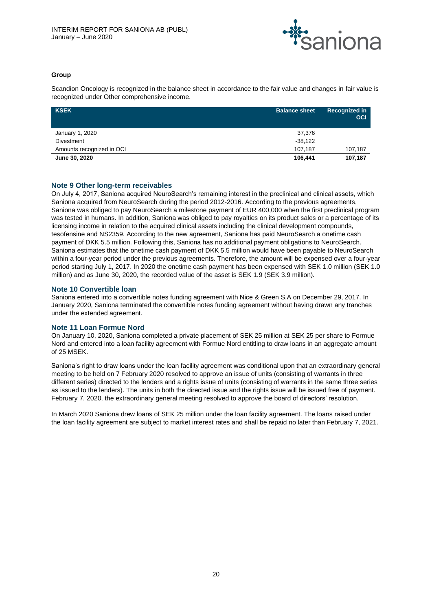

# **Group**

Scandion Oncology is recognized in the balance sheet in accordance to the fair value and changes in fair value is recognized under Other comprehensive income.

| <b>KSEK</b>               | <b>Balance sheet</b> | Recognized in<br><b>OCI</b> |
|---------------------------|----------------------|-----------------------------|
| January 1, 2020           | 37,376               |                             |
| <b>Divestment</b>         | $-38,122$            |                             |
| Amounts recognized in OCI | 107.187              | 107,187                     |
| June 30, 2020             | 106,441              | 107,187                     |

# **Note 9 Other long-term receivables**

On July 4, 2017, Saniona acquired NeuroSearch's remaining interest in the preclinical and clinical assets, which Saniona acquired from NeuroSearch during the period 2012-2016. According to the previous agreements, Saniona was obliged to pay NeuroSearch a milestone payment of EUR 400,000 when the first preclinical program was tested in humans. In addition, Saniona was obliged to pay royalties on its product sales or a percentage of its licensing income in relation to the acquired clinical assets including the clinical development compounds, tesofensine and NS2359. According to the new agreement, Saniona has paid NeuroSearch a onetime cash payment of DKK 5.5 million. Following this, Saniona has no additional payment obligations to NeuroSearch. Saniona estimates that the onetime cash payment of DKK 5.5 million would have been payable to NeuroSearch within a four-year period under the previous agreements. Therefore, the amount will be expensed over a four-year period starting July 1, 2017. In 2020 the onetime cash payment has been expensed with SEK 1.0 million (SEK 1.0 million) and as June 30, 2020, the recorded value of the asset is SEK 1.9 (SEK 3.9 million).

# **Note 10 Convertible loan**

Saniona entered into a convertible notes funding agreement with Nice & Green S.A on December 29, 2017. In January 2020, Saniona terminated the convertible notes funding agreement without having drawn any tranches under the extended agreement.

# **Note 11 Loan Formue Nord**

On January 10, 2020, Saniona completed a private placement of SEK 25 million at SEK 25 per share to Formue Nord and entered into a loan facility agreement with Formue Nord entitling to draw loans in an aggregate amount of 25 MSEK.

Saniona's right to draw loans under the loan facility agreement was conditional upon that an extraordinary general meeting to be held on 7 February 2020 resolved to approve an issue of units (consisting of warrants in three different series) directed to the lenders and a rights issue of units (consisting of warrants in the same three series as issued to the lenders). The units in both the directed issue and the rights issue will be issued free of payment. February 7, 2020, the extraordinary general meeting resolved to approve the board of directors' resolution.

In March 2020 Saniona drew loans of SEK 25 million under the loan facility agreement. The loans raised under the loan facility agreement are subject to market interest rates and shall be repaid no later than February 7, 2021.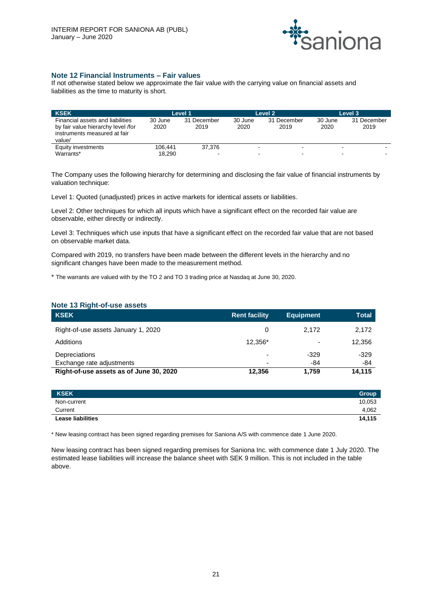

# **Note 12 Financial Instruments – Fair values**

If not otherwise stated below we approximate the fair value with the carrying value on financial assets and liabilities as the time to maturity is short.

| <b>KSEK</b>                        |         | Level 1     |                          | Level 2     |         | Level 3     |
|------------------------------------|---------|-------------|--------------------------|-------------|---------|-------------|
| Financial assets and liabilities   | 30 June | 31 December | 30 June                  | 31 December | 30 June | 31 December |
| by fair value hierarchy level /for | 2020    | 2019        | 2020                     | 2019        | 2020    | 2019        |
| instruments measured at fair       |         |             |                          |             |         |             |
| value/                             |         |             |                          |             |         |             |
| Equity investments                 | 106.441 | 37.376      | $\overline{\phantom{0}}$ | -           |         |             |
| Warrants*                          | 18.290  |             | $\overline{\phantom{0}}$ | -           |         |             |

The Company uses the following hierarchy for determining and disclosing the fair value of financial instruments by valuation technique:

Level 1: Quoted (unadjusted) prices in active markets for identical assets or liabilities.

Level 2: Other techniques for which all inputs which have a significant effect on the recorded fair value are observable, either directly or indirectly.

Level 3: Techniques which use inputs that have a significant effect on the recorded fair value that are not based on observable market data.

Compared with 2019, no transfers have been made between the different levels in the hierarchy and no significant changes have been made to the measurement method.

\* The warrants are valued with by the TO 2 and TO 3 trading price at Nasdaq at June 30, 2020.

| <b>KSEK</b>                             | <b>Rent facility</b> | <b>Equipment</b>         | Total  |
|-----------------------------------------|----------------------|--------------------------|--------|
| Right-of-use assets January 1, 2020     | 0                    | 2.172                    | 2,172  |
| Additions                               | 12.356*              | $\overline{\phantom{0}}$ | 12,356 |
| Depreciations                           | $\overline{a}$       | $-329$                   | $-329$ |
| Exchange rate adjustments               | $\overline{a}$       | -84                      | $-84$  |
| Right-of-use assets as of June 30, 2020 | 12,356               | 1.759                    | 14.115 |

| KSEK <sup>1</sup>        | Group  |
|--------------------------|--------|
| Non-current              | 10,053 |
| Current                  | 4,062  |
| <b>Lease liabilities</b> | 14.115 |

\* New leasing contract has been signed regarding premises for Saniona A/S with commence date 1 June 2020.

New leasing contract has been signed regarding premises for Saniona Inc. with commence date 1 July 2020. The estimated lease liabilities will increase the balance sheet with SEK 9 million. This is not included in the table above.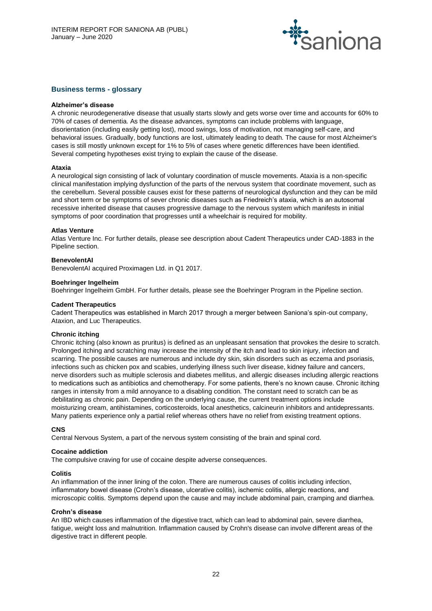

# **Business terms - glossary**

# **Alzheimer's disease**

A chronic neurodegenerative disease that usually starts slowly and gets worse over time and accounts for 60% to 70% of cases of dementia. As the disease advances, symptoms can include problems with language, disorientation (including easily getting lost), mood swings, loss of motivation, not managing self-care, and behavioral issues. Gradually, body functions are lost, ultimately leading to death. The cause for most Alzheimer's cases is still mostly unknown except for 1% to 5% of cases where genetic differences have been identified. Several competing hypotheses exist trying to explain the cause of the disease.

#### **Ataxia**

A neurological sign consisting of lack of voluntary coordination of muscle movements. Ataxia is a non-specific clinical manifestation implying dysfunction of the parts of the nervous system that coordinate movement, such as the cerebellum. Several possible causes exist for these patterns of neurological dysfunction and they can be mild and short term or be symptoms of sever chronic diseases such as Friedreich's ataxia, which is an autosomal recessive inherited disease that causes progressive damage to the nervous system which manifests in initial symptoms of poor coordination that progresses until a wheelchair is required for mobility.

#### **Atlas Venture**

Atlas Venture Inc. For further details, please see description about Cadent Therapeutics under CAD-1883 in the Pipeline section.

# **BenevolentAI**

BenevolentAI acquired Proximagen Ltd. in Q1 2017.

#### **Boehringer Ingelheim**

Boehringer Ingelheim GmbH. For further details, please see the Boehringer Program in the Pipeline section.

#### **Cadent Therapeutics**

Cadent Therapeutics was established in March 2017 through a merger between Saniona's spin-out company, Ataxion, and Luc Therapeutics.

#### **Chronic itching**

Chronic itching (also known as pruritus) is defined as an unpleasant sensation that provokes the desire to scratch. Prolonged itching and scratching may increase the intensity of the itch and lead to skin injury, infection and scarring. The possible causes are numerous and include dry skin, skin disorders such as eczema and psoriasis, infections such as chicken pox and scabies, underlying illness such liver disease, kidney failure and cancers, nerve disorders such as multiple sclerosis and diabetes mellitus, and allergic diseases including allergic reactions to medications such as antibiotics and chemotherapy. For some patients, there's no known cause. Chronic itching ranges in intensity from a mild annoyance to a disabling condition. The constant need to scratch can be as debilitating as chronic pain. Depending on the underlying cause, the current treatment options include moisturizing cream, antihistamines, corticosteroids, local anesthetics, calcineurin inhibitors and antidepressants. Many patients experience only a partial relief whereas others have no relief from existing treatment options.

#### **CNS**

Central Nervous System, a part of the nervous system consisting of the brain and spinal cord.

#### **Cocaine addiction**

The compulsive craving for use of cocaine despite adverse consequences.

#### **Colitis**

An inflammation of the inner lining of the colon. There are numerous causes of colitis including infection, inflammatory bowel disease (Crohn's disease, ulcerative colitis), ischemic colitis, allergic reactions, and microscopic colitis. Symptoms depend upon the cause and may include abdominal pain, cramping and diarrhea.

# **Crohn's disease**

An IBD which causes inflammation of the digestive tract, which can lead to abdominal pain, severe diarrhea, fatigue, weight loss and malnutrition. Inflammation caused by Crohn's disease can involve different areas of the digestive tract in different people.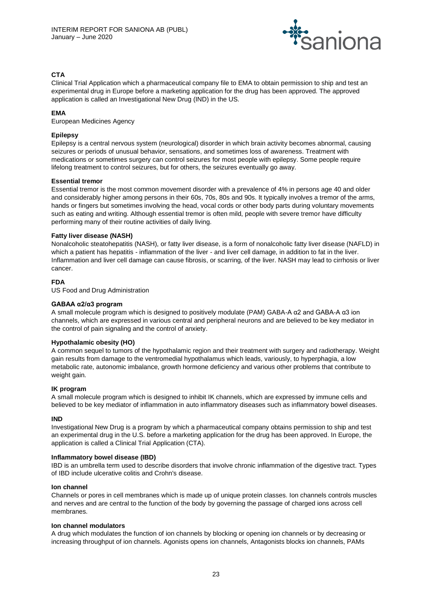

# **CTA**

Clinical Trial Application which a pharmaceutical company file to EMA to obtain permission to ship and test an experimental drug in Europe before a marketing application for the drug has been approved. The approved application is called an Investigational New Drug (IND) in the US.

# **EMA**

European Medicines Agency

# **Epilepsy**

Epilepsy is a central nervous system (neurological) disorder in which brain activity becomes abnormal, causing seizures or periods of unusual behavior, sensations, and sometimes loss of awareness. Treatment with medications or sometimes surgery can control seizures for most people with epilepsy. Some people require lifelong treatment to control seizures, but for others, the seizures eventually go away.

# **Essential tremor**

Essential tremor is the most common movement disorder with a prevalence of 4% in persons age 40 and older and considerably higher among persons in their 60s, 70s, 80s and 90s. It typically involves a tremor of the arms, hands or fingers but sometimes involving the head, vocal cords or other body parts during voluntary movements such as eating and writing. Although essential tremor is often mild, people with severe tremor have difficulty performing many of their routine activities of daily living.

# **Fatty liver disease (NASH)**

Nonalcoholic steatohepatitis (NASH), or fatty liver disease, is a form of nonalcoholic fatty liver disease (NAFLD) in which a patient has hepatitis - inflammation of the liver - and liver cell damage, in addition to fat in the liver. Inflammation and liver cell damage can cause fibrosis, or scarring, of the liver. NASH may lead to cirrhosis or liver cancer.

# **FDA**

US Food and Drug Administration

# **GABAA α2/α3 program**

A small molecule program which is designed to positively modulate (PAM) GABA-A α2 and GABA-A α3 ion channels, which are expressed in various central and peripheral neurons and are believed to be key mediator in the control of pain signaling and the control of anxiety.

# **Hypothalamic obesity (HO)**

A common sequel to tumors of the hypothalamic region and their treatment with surgery and radiotherapy. Weight gain results from damage to the ventromedial hypothalamus which leads, variously, to hyperphagia, a low metabolic rate, autonomic imbalance, growth hormone deficiency and various other problems that contribute to weight gain.

# **IK program**

A small molecule program which is designed to inhibit IK channels, which are expressed by immune cells and believed to be key mediator of inflammation in auto inflammatory diseases such as inflammatory bowel diseases.

#### **IND**

Investigational New Drug is a program by which a pharmaceutical company obtains permission to ship and test an experimental drug in the U.S. before a marketing application for the drug has been approved. In Europe, the application is called a Clinical Trial Application (CTA).

#### **Inflammatory bowel disease (IBD)**

IBD is an umbrella term used to describe disorders that involve chronic inflammation of the digestive tract. Types of IBD include ulcerative colitis and Crohn's disease.

#### **Ion channel**

Channels or pores in cell membranes which is made up of unique protein classes. Ion channels controls muscles and nerves and are central to the function of the body by governing the passage of charged ions across cell membranes.

#### **Ion channel modulators**

A drug which modulates the function of ion channels by blocking or opening ion channels or by decreasing or increasing throughput of ion channels. Agonists opens ion channels, Antagonists blocks ion channels, PAMs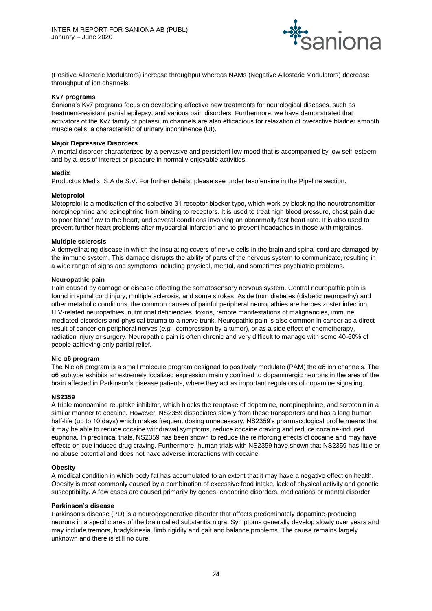

(Positive Allosteric Modulators) increase throughput whereas NAMs (Negative Allosteric Modulators) decrease throughput of ion channels.

#### **Kv7 programs**

Saniona's Kv7 programs focus on developing effective new treatments for neurological diseases, such as treatment-resistant partial epilepsy, and various pain disorders. Furthermore, we have demonstrated that activators of the Kv7 family of potassium channels are also efficacious for relaxation of overactive bladder smooth muscle cells, a characteristic of urinary incontinence (UI).

#### **Major Depressive Disorders**

A mental disorder characterized by a pervasive and persistent low mood that is accompanied by low self-esteem and by a loss of interest or pleasure in normally enjoyable activities.

#### **Medix**

Productos Medix, S.A de S.V. For further details, please see under tesofensine in the Pipeline section.

# **Metoprolol**

Metoprolol is a medication of the selective β1 receptor blocker type, which work by blocking the neurotransmitter norepinephrine and epinephrine from binding to receptors. It is used to treat high blood pressure, chest pain due to poor blood flow to the heart, and several conditions involving an abnormally fast heart rate. It is also used to prevent further heart problems after myocardial infarction and to prevent headaches in those with migraines.

# **Multiple sclerosis**

A demyelinating disease in which the insulating covers of nerve cells in the brain and spinal cord are damaged by the immune system. This damage disrupts the ability of parts of the nervous system to communicate, resulting in a wide range of signs and symptoms including physical, mental, and sometimes psychiatric problems.

#### **Neuropathic pain**

Pain caused by damage or disease affecting the somatosensory nervous system. Central neuropathic pain is found in spinal cord injury, multiple sclerosis, and some strokes. Aside from diabetes (diabetic neuropathy) and other metabolic conditions, the common causes of painful peripheral neuropathies are herpes zoster infection, HIV-related neuropathies, nutritional deficiencies, toxins, remote manifestations of malignancies, immune mediated disorders and physical trauma to a nerve trunk. Neuropathic pain is also common in cancer as a direct result of cancer on peripheral nerves (*e.g.*, compression by a tumor), or as a side effect of chemotherapy, radiation injury or surgery. Neuropathic pain is often chronic and very difficult to manage with some 40-60% of people achieving only partial relief.

#### **Nic α6 program**

The Nic α6 program is a small molecule program designed to positively modulate (PAM) the α6 ion channels. The α6 subtype exhibits an extremely localized expression mainly confined to dopaminergic neurons in the area of the brain affected in Parkinson's disease patients, where they act as important regulators of dopamine signaling.

#### **NS2359**

A triple monoamine reuptake inhibitor, which blocks the reuptake of dopamine, norepinephrine, and serotonin in a similar manner to cocaine. However, NS2359 dissociates slowly from these transporters and has a long human half-life (up to 10 days) which makes frequent dosing unnecessary. NS2359's pharmacological profile means that it may be able to reduce cocaine withdrawal symptoms, reduce cocaine craving and reduce cocaine-induced euphoria. In preclinical trials, NS2359 has been shown to reduce the reinforcing effects of cocaine and may have effects on cue induced drug craving. Furthermore, human trials with NS2359 have shown that NS2359 has little or no abuse potential and does not have adverse interactions with cocaine.

#### **Obesity**

A medical condition in which body fat has accumulated to an extent that it may have a negative effect on health. Obesity is most commonly caused by a combination of excessive food intake, lack of physical activity and genetic susceptibility. A few cases are caused primarily by genes, endocrine disorders, medications or mental disorder.

#### **Parkinson's disease**

Parkinson's disease (PD) is a neurodegenerative disorder that affects predominately dopamine-producing neurons in a specific area of the brain called substantia nigra. Symptoms generally develop slowly over years and may include tremors, bradykinesia, limb rigidity and gait and balance problems. The cause remains largely unknown and there is still no cure.